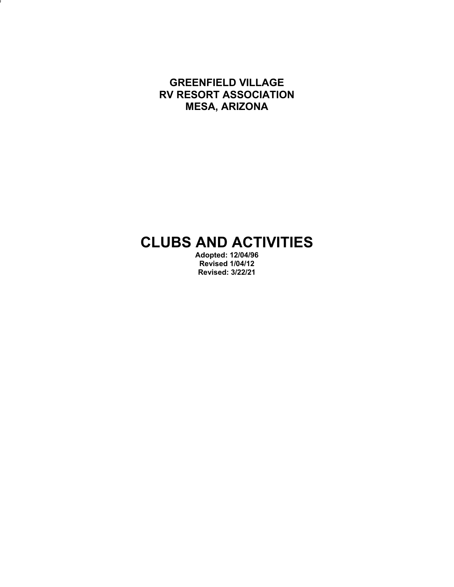**GREENFIELD VILLAGE RV RESORT ASSOCIATION MESA, ARIZONA**

J

# **CLUBS AND ACTIVITIES**

**Adopted: 12/04/96 Revised 1/04/12 Revised: 3/22/21**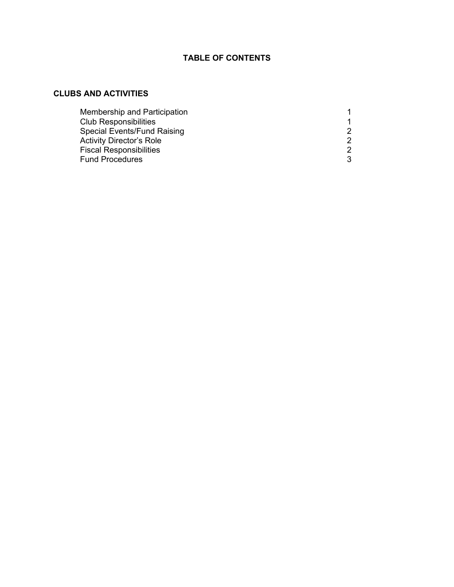# **TABLE OF CONTENTS**

## **CLUBS AND ACTIVITIES**

| Membership and Participation       |   |
|------------------------------------|---|
| <b>Club Responsibilities</b>       |   |
| <b>Special Events/Fund Raising</b> | 2 |
| <b>Activity Director's Role</b>    | 2 |
| <b>Fiscal Responsibilities</b>     | 2 |
| <b>Fund Procedures</b>             | 3 |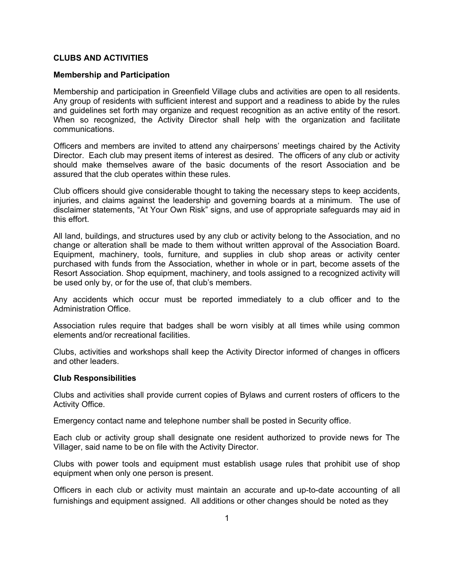## **CLUBS AND ACTIVITIES**

#### **Membership and Participation**

Membership and participation in Greenfield Village clubs and activities are open to all residents. Any group of residents with sufficient interest and support and a readiness to abide by the rules and guidelines set forth may organize and request recognition as an active entity of the resort. When so recognized, the Activity Director shall help with the organization and facilitate communications.

Officers and members are invited to attend any chairpersons' meetings chaired by the Activity Director. Each club may present items of interest as desired. The officers of any club or activity should make themselves aware of the basic documents of the resort Association and be assured that the club operates within these rules.

Club officers should give considerable thought to taking the necessary steps to keep accidents, injuries, and claims against the leadership and governing boards at a minimum. The use of disclaimer statements, "At Your Own Risk" signs, and use of appropriate safeguards may aid in this effort.

All land, buildings, and structures used by any club or activity belong to the Association, and no change or alteration shall be made to them without written approval of the Association Board. Equipment, machinery, tools, furniture, and supplies in club shop areas or activity center purchased with funds from the Association, whether in whole or in part, become assets of the Resort Association. Shop equipment, machinery, and tools assigned to a recognized activity will be used only by, or for the use of, that club's members.

Any accidents which occur must be reported immediately to a club officer and to the Administration Office.

Association rules require that badges shall be worn visibly at all times while using common elements and/or recreational facilities.

Clubs, activities and workshops shall keep the Activity Director informed of changes in officers and other leaders.

#### **Club Responsibilities**

Clubs and activities shall provide current copies of Bylaws and current rosters of officers to the Activity Office.

Emergency contact name and telephone number shall be posted in Security office.

Each club or activity group shall designate one resident authorized to provide news for The Villager, said name to be on file with the Activity Director.

Clubs with power tools and equipment must establish usage rules that prohibit use of shop equipment when only one person is present.

Officers in each club or activity must maintain an accurate and up-to-date accounting of all furnishings and equipment assigned. All additions or other changes should be noted as they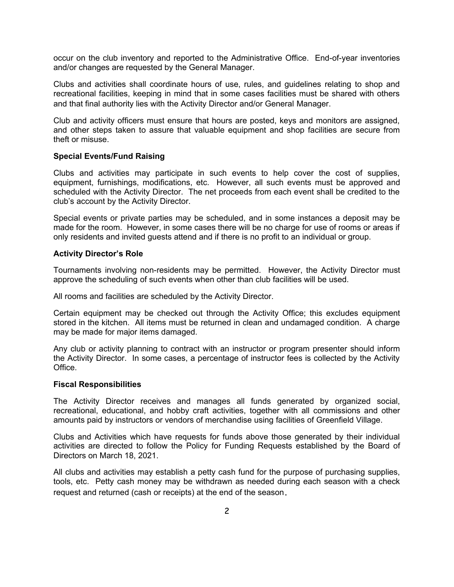occur on the club inventory and reported to the Administrative Office. End-of-year inventories and/or changes are requested by the General Manager.

Clubs and activities shall coordinate hours of use, rules, and guidelines relating to shop and recreational facilities, keeping in mind that in some cases facilities must be shared with others and that final authority lies with the Activity Director and/or General Manager.

Club and activity officers must ensure that hours are posted, keys and monitors are assigned, and other steps taken to assure that valuable equipment and shop facilities are secure from theft or misuse.

#### **Special Events/Fund Raising**

Clubs and activities may participate in such events to help cover the cost of supplies, equipment, furnishings, modifications, etc. However, all such events must be approved and scheduled with the Activity Director. The net proceeds from each event shall be credited to the club's account by the Activity Director.

Special events or private parties may be scheduled, and in some instances a deposit may be made for the room. However, in some cases there will be no charge for use of rooms or areas if only residents and invited guests attend and if there is no profit to an individual or group.

#### **Activity Director's Role**

Tournaments involving non-residents may be permitted. However, the Activity Director must approve the scheduling of such events when other than club facilities will be used.

All rooms and facilities are scheduled by the Activity Director.

Certain equipment may be checked out through the Activity Office; this excludes equipment stored in the kitchen. All items must be returned in clean and undamaged condition. A charge may be made for major items damaged.

Any club or activity planning to contract with an instructor or program presenter should inform the Activity Director. In some cases, a percentage of instructor fees is collected by the Activity Office.

#### **Fiscal Responsibilities**

The Activity Director receives and manages all funds generated by organized social, recreational, educational, and hobby craft activities, together with all commissions and other amounts paid by instructors or vendors of merchandise using facilities of Greenfield Village.

Clubs and Activities which have requests for funds above those generated by their individual activities are directed to follow the Policy for Funding Requests established by the Board of Directors on March 18, 2021.

All clubs and activities may establish a petty cash fund for the purpose of purchasing supplies, tools, etc. Petty cash money may be withdrawn as needed during each season with a check request and returned (cash or receipts) at the end of the season**.**